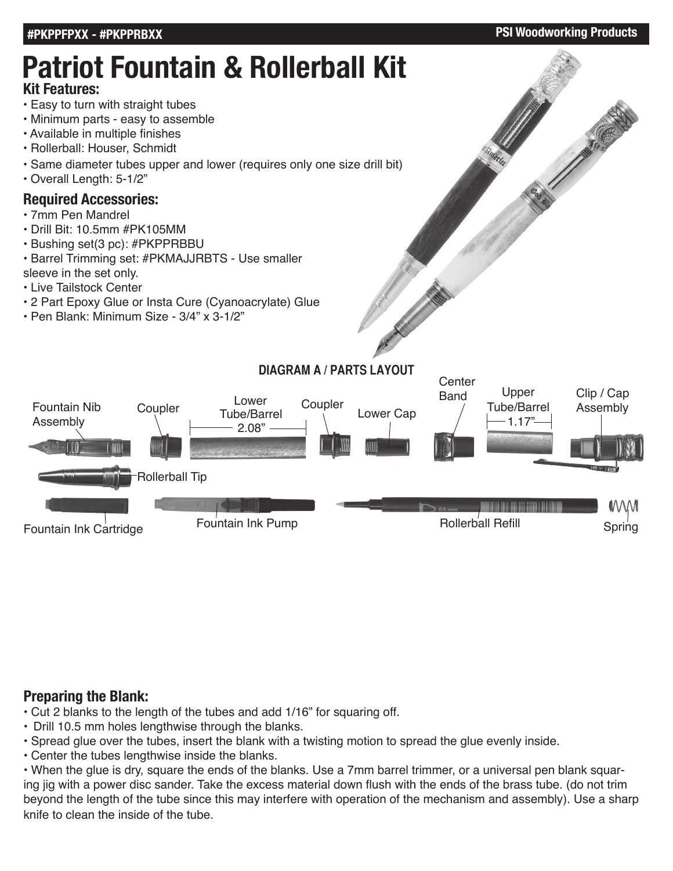#### **#PKPPFPXX - #PKPPRBXX PSI Woodworking Products**

# **Patriot Fountain & Rollerball Kit**

### **Kit Features:**

- Easy to turn with straight tubes
- Minimum parts easy to assemble
- Available in multiple finishes
- Rollerball: Houser, Schmidt
- Same diameter tubes upper and lower (requires only one size drill bit)
- Overall Length: 5-1/2"

### **Required Accessories:**

- 7mm Pen Mandrel
- Drill Bit: 10.5mm #PK105MM
- Bushing set(3 pc): #PKPPRBBU
- Barrel Trimming set: #PKMAJJRBTS Use smaller sleeve in the set only.
- Live Tailstock Center
- 2 Part Epoxy Glue or Insta Cure (Cyanoacrylate) Glue
- Pen Blank: Minimum Size 3/4" x 3-1/2"



# **Preparing the Blank:**

- Cut 2 blanks to the length of the tubes and add 1/16" for squaring off.
- Drill 10.5 mm holes lengthwise through the blanks.
- Spread glue over the tubes, insert the blank with a twisting motion to spread the glue evenly inside.
- Center the tubes lengthwise inside the blanks.

• When the glue is dry, square the ends of the blanks. Use a 7mm barrel trimmer, or a universal pen blank squaring jig with a power disc sander. Take the excess material down flush with the ends of the brass tube. (do not trim beyond the length of the tube since this may interfere with operation of the mechanism and assembly). Use a sharp knife to clean the inside of the tube.